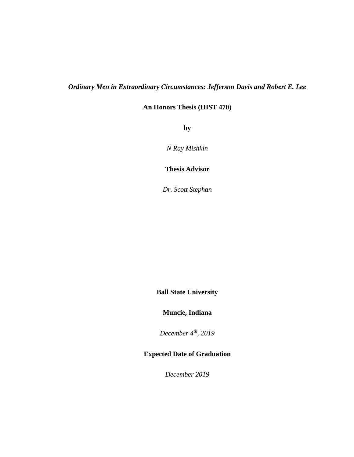# *Ordinary Men in Extraordinary Circumstances: Jefferson Davis and Robert E. Lee*

**An Honors Thesis (HIST 470)**

**by**

*N Ray Mishkin*

**Thesis Advisor**

*Dr. Scott Stephan*

**Ball State University**

**Muncie, Indiana**

*December 4th , 2019*

# **Expected Date of Graduation**

*December 2019*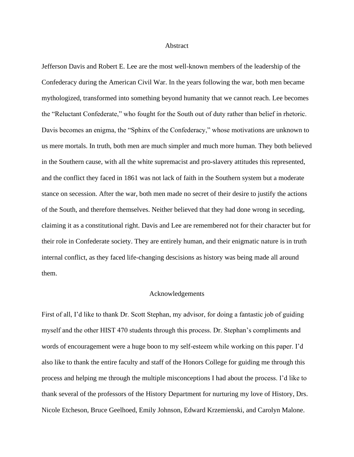### Abstract

Jefferson Davis and Robert E. Lee are the most well-known members of the leadership of the Confederacy during the American Civil War. In the years following the war, both men became mythologized, transformed into something beyond humanity that we cannot reach. Lee becomes the "Reluctant Confederate," who fought for the South out of duty rather than belief in rhetoric. Davis becomes an enigma, the "Sphinx of the Confederacy," whose motivations are unknown to us mere mortals. In truth, both men are much simpler and much more human. They both believed in the Southern cause, with all the white supremacist and pro-slavery attitudes this represented, and the conflict they faced in 1861 was not lack of faith in the Southern system but a moderate stance on secession. After the war, both men made no secret of their desire to justify the actions of the South, and therefore themselves. Neither believed that they had done wrong in seceding, claiming it as a constitutional right. Davis and Lee are remembered not for their character but for their role in Confederate society. They are entirely human, and their enigmatic nature is in truth internal conflict, as they faced life-changing descisions as history was being made all around them.

### Acknowledgements

First of all, I'd like to thank Dr. Scott Stephan, my advisor, for doing a fantastic job of guiding myself and the other HIST 470 students through this process. Dr. Stephan's compliments and words of encouragement were a huge boon to my self-esteem while working on this paper. I'd also like to thank the entire faculty and staff of the Honors College for guiding me through this process and helping me through the multiple misconceptions I had about the process. I'd like to thank several of the professors of the History Department for nurturing my love of History, Drs. Nicole Etcheson, Bruce Geelhoed, Emily Johnson, Edward Krzemienski, and Carolyn Malone.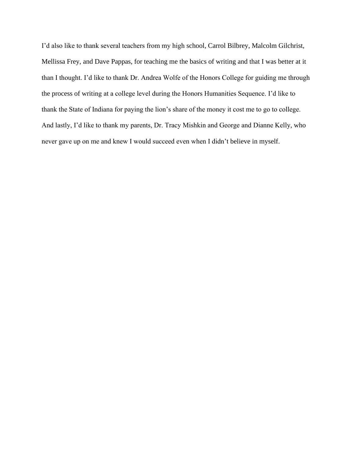I'd also like to thank several teachers from my high school, Carrol Bilbrey, Malcolm Gilchrist, Mellissa Frey, and Dave Pappas, for teaching me the basics of writing and that I was better at it than I thought. I'd like to thank Dr. Andrea Wolfe of the Honors College for guiding me through the process of writing at a college level during the Honors Humanities Sequence. I'd like to thank the State of Indiana for paying the lion's share of the money it cost me to go to college. And lastly, I'd like to thank my parents, Dr. Tracy Mishkin and George and Dianne Kelly, who never gave up on me and knew I would succeed even when I didn't believe in myself.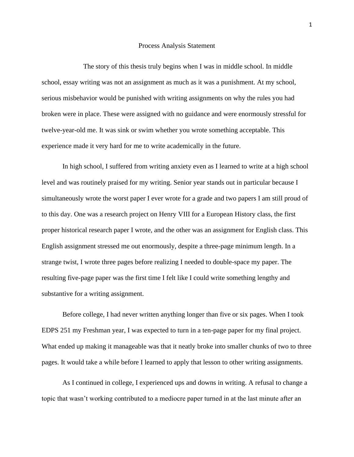### Process Analysis Statement

The story of this thesis truly begins when I was in middle school. In middle school, essay writing was not an assignment as much as it was a punishment. At my school, serious misbehavior would be punished with writing assignments on why the rules you had broken were in place. These were assigned with no guidance and were enormously stressful for twelve-year-old me. It was sink or swim whether you wrote something acceptable. This experience made it very hard for me to write academically in the future.

In high school, I suffered from writing anxiety even as I learned to write at a high school level and was routinely praised for my writing. Senior year stands out in particular because I simultaneously wrote the worst paper I ever wrote for a grade and two papers I am still proud of to this day. One was a research project on Henry VIII for a European History class, the first proper historical research paper I wrote, and the other was an assignment for English class. This English assignment stressed me out enormously, despite a three-page minimum length. In a strange twist, I wrote three pages before realizing I needed to double-space my paper. The resulting five-page paper was the first time I felt like I could write something lengthy and substantive for a writing assignment.

Before college, I had never written anything longer than five or six pages. When I took EDPS 251 my Freshman year, I was expected to turn in a ten-page paper for my final project. What ended up making it manageable was that it neatly broke into smaller chunks of two to three pages. It would take a while before I learned to apply that lesson to other writing assignments.

As I continued in college, I experienced ups and downs in writing. A refusal to change a topic that wasn't working contributed to a mediocre paper turned in at the last minute after an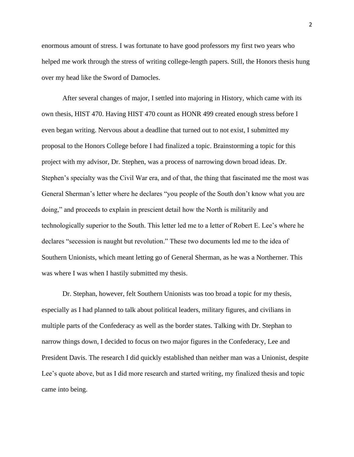enormous amount of stress. I was fortunate to have good professors my first two years who helped me work through the stress of writing college-length papers. Still, the Honors thesis hung over my head like the Sword of Damocles.

After several changes of major, I settled into majoring in History, which came with its own thesis, HIST 470. Having HIST 470 count as HONR 499 created enough stress before I even began writing. Nervous about a deadline that turned out to not exist, I submitted my proposal to the Honors College before I had finalized a topic. Brainstorming a topic for this project with my advisor, Dr. Stephen, was a process of narrowing down broad ideas. Dr. Stephen's specialty was the Civil War era, and of that, the thing that fascinated me the most was General Sherman's letter where he declares "you people of the South don't know what you are doing," and proceeds to explain in prescient detail how the North is militarily and technologically superior to the South. This letter led me to a letter of Robert E. Lee's where he declares "secession is naught but revolution." These two documents led me to the idea of Southern Unionists, which meant letting go of General Sherman, as he was a Northerner. This was where I was when I hastily submitted my thesis.

Dr. Stephan, however, felt Southern Unionists was too broad a topic for my thesis, especially as I had planned to talk about political leaders, military figures, and civilians in multiple parts of the Confederacy as well as the border states. Talking with Dr. Stephan to narrow things down, I decided to focus on two major figures in the Confederacy, Lee and President Davis. The research I did quickly established than neither man was a Unionist, despite Lee's quote above, but as I did more research and started writing, my finalized thesis and topic came into being.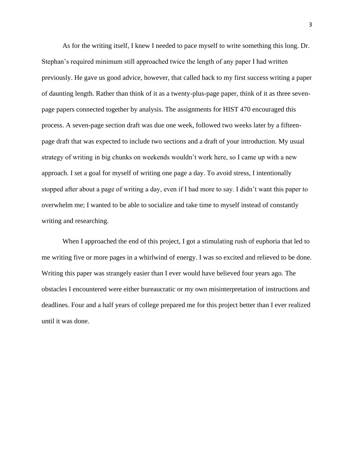As for the writing itself, I knew I needed to pace myself to write something this long. Dr. Stephan's required minimum still approached twice the length of any paper I had written previously. He gave us good advice, however, that called back to my first success writing a paper of daunting length. Rather than think of it as a twenty-plus-page paper, think of it as three sevenpage papers connected together by analysis. The assignments for HIST 470 encouraged this process. A seven-page section draft was due one week, followed two weeks later by a fifteenpage draft that was expected to include two sections and a draft of your introduction. My usual strategy of writing in big chunks on weekends wouldn't work here, so I came up with a new approach. I set a goal for myself of writing one page a day. To avoid stress, I intentionally stopped after about a page of writing a day, even if I had more to say. I didn't want this paper to overwhelm me; I wanted to be able to socialize and take time to myself instead of constantly writing and researching.

When I approached the end of this project, I got a stimulating rush of euphoria that led to me writing five or more pages in a whirlwind of energy. I was so excited and relieved to be done. Writing this paper was strangely easier than I ever would have believed four years ago. The obstacles I encountered were either bureaucratic or my own misinterpretation of instructions and deadlines. Four and a half years of college prepared me for this project better than I ever realized until it was done.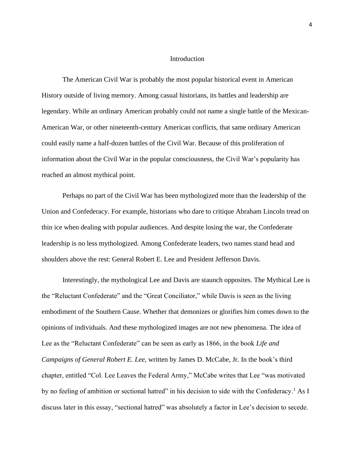### **Introduction**

The American Civil War is probably the most popular historical event in American History outside of living memory. Among casual historians, its battles and leadership are legendary. While an ordinary American probably could not name a single battle of the Mexican-American War, or other nineteenth-century American conflicts, that same ordinary American could easily name a half-dozen battles of the Civil War. Because of this proliferation of information about the Civil War in the popular consciousness, the Civil War's popularity has reached an almost mythical point.

Perhaps no part of the Civil War has been mythologized more than the leadership of the Union and Confederacy. For example, historians who dare to critique Abraham Lincoln tread on thin ice when dealing with popular audiences. And despite losing the war, the Confederate leadership is no less mythologized. Among Confederate leaders, two names stand head and shoulders above the rest: General Robert E. Lee and President Jefferson Davis.

Interestingly, the mythological Lee and Davis are staunch opposites. The Mythical Lee is the "Reluctant Confederate" and the "Great Conciliator," while Davis is seen as the living embodiment of the Southern Cause. Whether that demonizes or glorifies him comes down to the opinions of individuals. And these mythologized images are not new phenomena. The idea of Lee as the "Reluctant Confederate" can be seen as early as 1866, in the book *Life and Campaigns of General Robert E. Lee,* written by James D. McCabe, Jr. In the book's third chapter, entitled "Col. Lee Leaves the Federal Army," McCabe writes that Lee "was motivated by no feeling of ambition or sectional hatred" in his decision to side with the Confederacy.<sup>1</sup> As I discuss later in this essay, "sectional hatred" was absolutely a factor in Lee's decision to secede.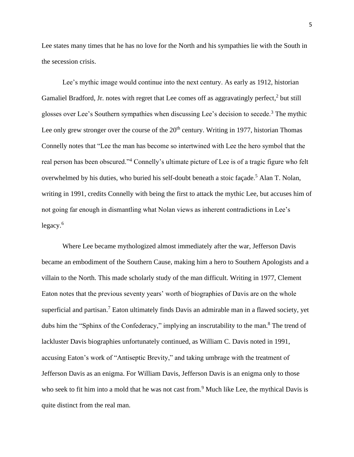Lee states many times that he has no love for the North and his sympathies lie with the South in the secession crisis.

Lee's mythic image would continue into the next century. As early as 1912, historian Gamaliel Bradford, Jr. notes with regret that Lee comes off as aggravatingly perfect,<sup>2</sup> but still glosses over Lee's Southern sympathies when discussing Lee's decision to secede.<sup>3</sup> The mythic Lee only grew stronger over the course of the  $20<sup>th</sup>$  century. Writing in 1977, historian Thomas Connelly notes that "Lee the man has become so intertwined with Lee the hero symbol that the real person has been obscured."<sup>4</sup> Connelly's ultimate picture of Lee is of a tragic figure who felt overwhelmed by his duties, who buried his self-doubt beneath a stoic façade.<sup>5</sup> Alan T. Nolan, writing in 1991, credits Connelly with being the first to attack the mythic Lee, but accuses him of not going far enough in dismantling what Nolan views as inherent contradictions in Lee's legacy. 6

Where Lee became mythologized almost immediately after the war, Jefferson Davis became an embodiment of the Southern Cause, making him a hero to Southern Apologists and a villain to the North. This made scholarly study of the man difficult. Writing in 1977, Clement Eaton notes that the previous seventy years' worth of biographies of Davis are on the whole superficial and partisan.<sup>7</sup> Eaton ultimately finds Davis an admirable man in a flawed society, yet dubs him the "Sphinx of the Confederacy," implying an inscrutability to the man.<sup>8</sup> The trend of lackluster Davis biographies unfortunately continued, as William C. Davis noted in 1991, accusing Eaton's work of "Antiseptic Brevity," and taking umbrage with the treatment of Jefferson Davis as an enigma. For William Davis, Jefferson Davis is an enigma only to those who seek to fit him into a mold that he was not cast from.<sup>9</sup> Much like Lee, the mythical Davis is quite distinct from the real man.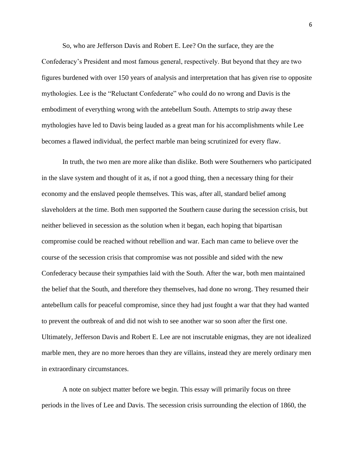So, who are Jefferson Davis and Robert E. Lee? On the surface, they are the Confederacy's President and most famous general, respectively. But beyond that they are two figures burdened with over 150 years of analysis and interpretation that has given rise to opposite mythologies. Lee is the "Reluctant Confederate" who could do no wrong and Davis is the embodiment of everything wrong with the antebellum South. Attempts to strip away these mythologies have led to Davis being lauded as a great man for his accomplishments while Lee becomes a flawed individual, the perfect marble man being scrutinized for every flaw.

In truth, the two men are more alike than dislike. Both were Southerners who participated in the slave system and thought of it as, if not a good thing, then a necessary thing for their economy and the enslaved people themselves. This was, after all, standard belief among slaveholders at the time. Both men supported the Southern cause during the secession crisis, but neither believed in secession as the solution when it began, each hoping that bipartisan compromise could be reached without rebellion and war. Each man came to believe over the course of the secession crisis that compromise was not possible and sided with the new Confederacy because their sympathies laid with the South. After the war, both men maintained the belief that the South, and therefore they themselves, had done no wrong. They resumed their antebellum calls for peaceful compromise, since they had just fought a war that they had wanted to prevent the outbreak of and did not wish to see another war so soon after the first one. Ultimately, Jefferson Davis and Robert E. Lee are not inscrutable enigmas, they are not idealized marble men, they are no more heroes than they are villains, instead they are merely ordinary men in extraordinary circumstances.

A note on subject matter before we begin. This essay will primarily focus on three periods in the lives of Lee and Davis. The secession crisis surrounding the election of 1860, the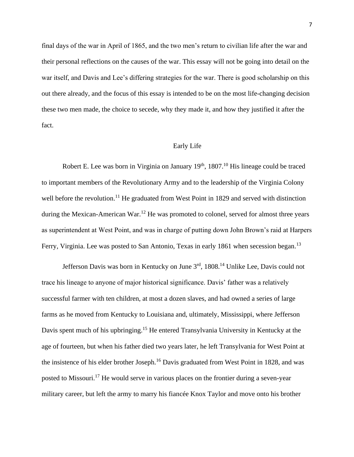final days of the war in April of 1865, and the two men's return to civilian life after the war and their personal reflections on the causes of the war. This essay will not be going into detail on the war itself, and Davis and Lee's differing strategies for the war. There is good scholarship on this out there already, and the focus of this essay is intended to be on the most life-changing decision these two men made, the choice to secede, why they made it, and how they justified it after the fact.

# Early Life

Robert E. Lee was born in Virginia on January  $19<sup>th</sup>$ , 1807.<sup>10</sup> His lineage could be traced to important members of the Revolutionary Army and to the leadership of the Virginia Colony well before the revolution.<sup>11</sup> He graduated from West Point in 1829 and served with distinction during the Mexican-American War.<sup>12</sup> He was promoted to colonel, served for almost three years as superintendent at West Point, and was in charge of putting down John Brown's raid at Harpers Ferry, Virginia. Lee was posted to San Antonio, Texas in early 1861 when secession began.<sup>13</sup>

Jefferson Davis was born in Kentucky on June 3rd, 1808.<sup>14</sup> Unlike Lee, Davis could not trace his lineage to anyone of major historical significance. Davis' father was a relatively successful farmer with ten children, at most a dozen slaves, and had owned a series of large farms as he moved from Kentucky to Louisiana and, ultimately, Mississippi, where Jefferson Davis spent much of his upbringing.<sup>15</sup> He entered Transylvania University in Kentucky at the age of fourteen, but when his father died two years later, he left Transylvania for West Point at the insistence of his elder brother Joseph.<sup>16</sup> Davis graduated from West Point in 1828, and was posted to Missouri.<sup>17</sup> He would serve in various places on the frontier during a seven-year military career, but left the army to marry his fiancée Knox Taylor and move onto his brother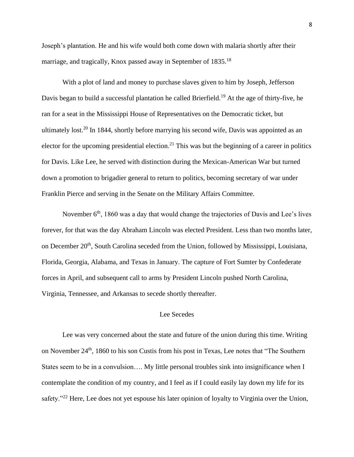Joseph's plantation. He and his wife would both come down with malaria shortly after their marriage, and tragically, Knox passed away in September of 1835.<sup>18</sup>

With a plot of land and money to purchase slaves given to him by Joseph, Jefferson Davis began to build a successful plantation he called Brierfield.<sup>19</sup> At the age of thirty-five, he ran for a seat in the Mississippi House of Representatives on the Democratic ticket, but ultimately lost.<sup>20</sup> In 1844, shortly before marrying his second wife, Davis was appointed as an elector for the upcoming presidential election.<sup>21</sup> This was but the beginning of a career in politics for Davis. Like Lee, he served with distinction during the Mexican-American War but turned down a promotion to brigadier general to return to politics, becoming secretary of war under Franklin Pierce and serving in the Senate on the Military Affairs Committee.

November 6<sup>th</sup>, 1860 was a day that would change the trajectories of Davis and Lee's lives forever, for that was the day Abraham Lincoln was elected President. Less than two months later, on December 20<sup>th</sup>, South Carolina seceded from the Union, followed by Mississippi, Louisiana, Florida, Georgia, Alabama, and Texas in January. The capture of Fort Sumter by Confederate forces in April, and subsequent call to arms by President Lincoln pushed North Carolina, Virginia, Tennessee, and Arkansas to secede shortly thereafter.

# Lee Secedes

Lee was very concerned about the state and future of the union during this time. Writing on November 24<sup>th</sup>, 1860 to his son Custis from his post in Texas, Lee notes that "The Southern States seem to be in a convulsion.... My little personal troubles sink into insignificance when I contemplate the condition of my country, and I feel as if I could easily lay down my life for its safety."<sup>22</sup> Here, Lee does not yet espouse his later opinion of loyalty to Virginia over the Union,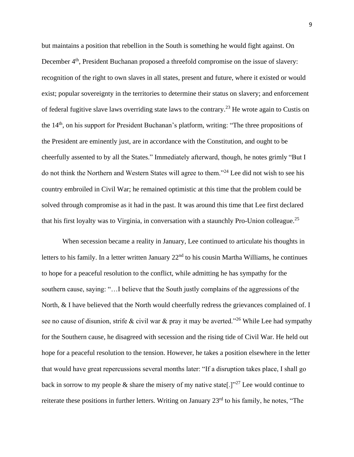but maintains a position that rebellion in the South is something he would fight against. On December 4<sup>th</sup>, President Buchanan proposed a threefold compromise on the issue of slavery: recognition of the right to own slaves in all states, present and future, where it existed or would exist; popular sovereignty in the territories to determine their status on slavery; and enforcement of federal fugitive slave laws overriding state laws to the contrary.<sup>23</sup> He wrote again to Custis on the 14<sup>th</sup>, on his support for President Buchanan's platform, writing: "The three propositions of the President are eminently just, are in accordance with the Constitution, and ought to be cheerfully assented to by all the States." Immediately afterward, though, he notes grimly "But I do not think the Northern and Western States will agree to them."<sup>24</sup> Lee did not wish to see his country embroiled in Civil War; he remained optimistic at this time that the problem could be solved through compromise as it had in the past. It was around this time that Lee first declared that his first loyalty was to Virginia, in conversation with a staunchly Pro-Union colleague.<sup>25</sup>

When secession became a reality in January, Lee continued to articulate his thoughts in letters to his family. In a letter written January 22<sup>nd</sup> to his cousin Martha Williams, he continues to hope for a peaceful resolution to the conflict, while admitting he has sympathy for the southern cause, saying: "... I believe that the South justly complains of the aggressions of the North, & I have believed that the North would cheerfully redress the grievances complained of. I see no cause of disunion, strife & civil war & pray it may be averted."<sup>26</sup> While Lee had sympathy for the Southern cause, he disagreed with secession and the rising tide of Civil War. He held out hope for a peaceful resolution to the tension. However, he takes a position elsewhere in the letter that would have great repercussions several months later: "If a disruption takes place, I shall go back in sorrow to my people & share the misery of my native state<sup>[1]</sup><sup>27</sup> Lee would continue to reiterate these positions in further letters. Writing on January 23<sup>rd</sup> to his family, he notes, "The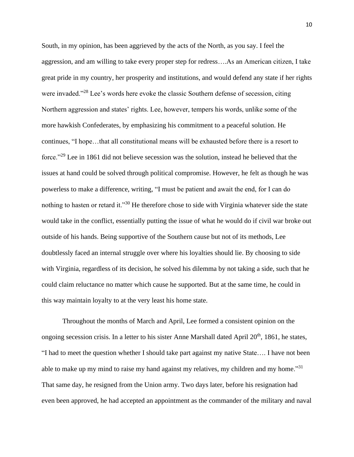South, in my opinion, has been aggrieved by the acts of the North, as you say. I feel the aggression, and am willing to take every proper step for redress….As an American citizen, I take great pride in my country, her prosperity and institutions, and would defend any state if her rights were invaded."<sup>28</sup> Lee's words here evoke the classic Southern defense of secession, citing Northern aggression and states' rights. Lee, however, tempers his words, unlike some of the more hawkish Confederates, by emphasizing his commitment to a peaceful solution. He continues, "I hope…that all constitutional means will be exhausted before there is a resort to force."<sup>29</sup> Lee in 1861 did not believe secession was the solution, instead he believed that the issues at hand could be solved through political compromise. However, he felt as though he was powerless to make a difference, writing, "I must be patient and await the end, for I can do nothing to hasten or retard it."<sup>30</sup> He therefore chose to side with Virginia whatever side the state would take in the conflict, essentially putting the issue of what he would do if civil war broke out outside of his hands. Being supportive of the Southern cause but not of its methods, Lee doubtlessly faced an internal struggle over where his loyalties should lie. By choosing to side with Virginia, regardless of its decision, he solved his dilemma by not taking a side, such that he could claim reluctance no matter which cause he supported. But at the same time, he could in this way maintain loyalty to at the very least his home state.

Throughout the months of March and April, Lee formed a consistent opinion on the ongoing secession crisis. In a letter to his sister Anne Marshall dated April 20<sup>th</sup>, 1861, he states, "I had to meet the question whether I should take part against my native State…. I have not been able to make up my mind to raise my hand against my relatives, my children and my home."<sup>31</sup> That same day, he resigned from the Union army. Two days later, before his resignation had even been approved, he had accepted an appointment as the commander of the military and naval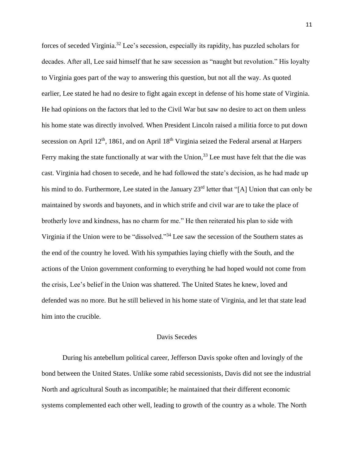forces of seceded Virginia.<sup>32</sup> Lee's secession, especially its rapidity, has puzzled scholars for decades. After all, Lee said himself that he saw secession as "naught but revolution." His loyalty to Virginia goes part of the way to answering this question, but not all the way. As quoted earlier, Lee stated he had no desire to fight again except in defense of his home state of Virginia. He had opinions on the factors that led to the Civil War but saw no desire to act on them unless his home state was directly involved. When President Lincoln raised a militia force to put down secession on April 12<sup>th</sup>, 1861, and on April 18<sup>th</sup> Virginia seized the Federal arsenal at Harpers Ferry making the state functionally at war with the Union,<sup>33</sup> Lee must have felt that the die was cast. Virginia had chosen to secede, and he had followed the state's decision, as he had made up his mind to do. Furthermore, Lee stated in the January 23<sup>rd</sup> letter that "[A] Union that can only be maintained by swords and bayonets, and in which strife and civil war are to take the place of brotherly love and kindness, has no charm for me." He then reiterated his plan to side with Virginia if the Union were to be "dissolved."<sup>34</sup> Lee saw the secession of the Southern states as the end of the country he loved. With his sympathies laying chiefly with the South, and the actions of the Union government conforming to everything he had hoped would not come from the crisis, Lee's belief in the Union was shattered. The United States he knew, loved and defended was no more. But he still believed in his home state of Virginia, and let that state lead him into the crucible.

# Davis Secedes

During his antebellum political career, Jefferson Davis spoke often and lovingly of the bond between the United States. Unlike some rabid secessionists, Davis did not see the industrial North and agricultural South as incompatible; he maintained that their different economic systems complemented each other well, leading to growth of the country as a whole. The North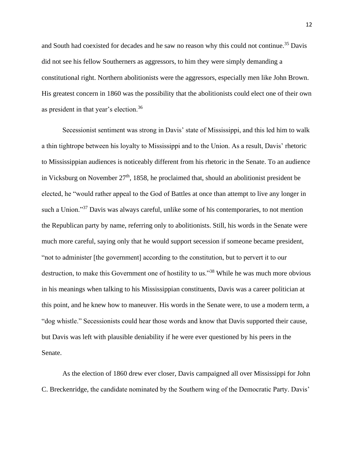and South had coexisted for decades and he saw no reason why this could not continue.<sup>35</sup> Davis did not see his fellow Southerners as aggressors, to him they were simply demanding a constitutional right. Northern abolitionists were the aggressors, especially men like John Brown. His greatest concern in 1860 was the possibility that the abolitionists could elect one of their own as president in that year's election.<sup>36</sup>

Secessionist sentiment was strong in Davis' state of Mississippi, and this led him to walk a thin tightrope between his loyalty to Mississippi and to the Union. As a result, Davis' rhetoric to Mississippian audiences is noticeably different from his rhetoric in the Senate. To an audience in Vicksburg on November  $27<sup>th</sup>$ , 1858, he proclaimed that, should an abolitionist president be elected, he "would rather appeal to the God of Battles at once than attempt to live any longer in such a Union."<sup>37</sup> Davis was always careful, unlike some of his contemporaries, to not mention the Republican party by name, referring only to abolitionists. Still, his words in the Senate were much more careful, saying only that he would support secession if someone became president, "not to administer [the government] according to the constitution, but to pervert it to our destruction, to make this Government one of hostility to us."<sup>38</sup> While he was much more obvious in his meanings when talking to his Mississippian constituents, Davis was a career politician at this point, and he knew how to maneuver. His words in the Senate were, to use a modern term, a "dog whistle." Secessionists could hear those words and know that Davis supported their cause, but Davis was left with plausible deniability if he were ever questioned by his peers in the Senate.

As the election of 1860 drew ever closer, Davis campaigned all over Mississippi for John C. Breckenridge, the candidate nominated by the Southern wing of the Democratic Party. Davis'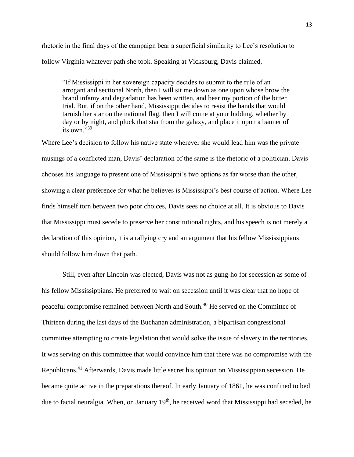rhetoric in the final days of the campaign bear a superficial similarity to Lee's resolution to follow Virginia whatever path she took. Speaking at Vicksburg, Davis claimed,

"If Mississippi in her sovereign capacity decides to submit to the rule of an arrogant and sectional North, then I will sit me down as one upon whose brow the brand infamy and degradation has been written, and bear my portion of the bitter trial. But, if on the other hand, Mississippi decides to resist the hands that would tarnish her star on the national flag, then I will come at your bidding, whether by day or by night, and pluck that star from the galaxy, and place it upon a banner of its own."<sup>39</sup>

Where Lee's decision to follow his native state wherever she would lead him was the private musings of a conflicted man, Davis' declaration of the same is the rhetoric of a politician. Davis chooses his language to present one of Mississippi's two options as far worse than the other, showing a clear preference for what he believes is Mississippi's best course of action. Where Lee finds himself torn between two poor choices, Davis sees no choice at all. It is obvious to Davis that Mississippi must secede to preserve her constitutional rights, and his speech is not merely a declaration of this opinion, it is a rallying cry and an argument that his fellow Mississippians should follow him down that path.

Still, even after Lincoln was elected, Davis was not as gung-ho for secession as some of his fellow Mississippians. He preferred to wait on secession until it was clear that no hope of peaceful compromise remained between North and South.<sup>40</sup> He served on the Committee of Thirteen during the last days of the Buchanan administration, a bipartisan congressional committee attempting to create legislation that would solve the issue of slavery in the territories. It was serving on this committee that would convince him that there was no compromise with the Republicans.<sup>41</sup> Afterwards, Davis made little secret his opinion on Mississippian secession. He became quite active in the preparations thereof. In early January of 1861, he was confined to bed due to facial neuralgia. When, on January 19<sup>th</sup>, he received word that Mississippi had seceded, he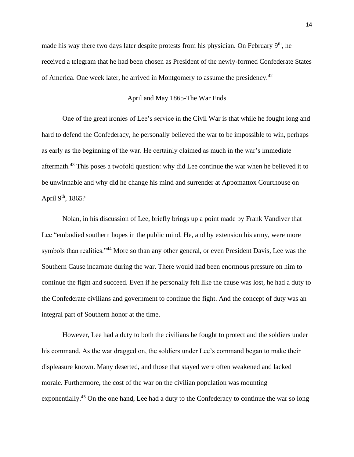made his way there two days later despite protests from his physician. On February 9<sup>th</sup>, he received a telegram that he had been chosen as President of the newly-formed Confederate States of America. One week later, he arrived in Montgomery to assume the presidency.<sup>42</sup>

# April and May 1865-The War Ends

One of the great ironies of Lee's service in the Civil War is that while he fought long and hard to defend the Confederacy, he personally believed the war to be impossible to win, perhaps as early as the beginning of the war. He certainly claimed as much in the war's immediate aftermath.<sup>43</sup> This poses a twofold question: why did Lee continue the war when he believed it to be unwinnable and why did he change his mind and surrender at Appomattox Courthouse on April  $9<sup>th</sup>$ , 1865?

Nolan, in his discussion of Lee, briefly brings up a point made by Frank Vandiver that Lee "embodied southern hopes in the public mind. He, and by extension his army, were more symbols than realities."<sup>44</sup> More so than any other general, or even President Davis, Lee was the Southern Cause incarnate during the war. There would had been enormous pressure on him to continue the fight and succeed. Even if he personally felt like the cause was lost, he had a duty to the Confederate civilians and government to continue the fight. And the concept of duty was an integral part of Southern honor at the time.

However, Lee had a duty to both the civilians he fought to protect and the soldiers under his command. As the war dragged on, the soldiers under Lee's command began to make their displeasure known. Many deserted, and those that stayed were often weakened and lacked morale. Furthermore, the cost of the war on the civilian population was mounting exponentially.<sup>45</sup> On the one hand, Lee had a duty to the Confederacy to continue the war so long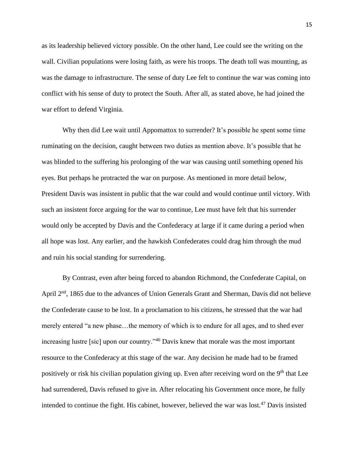as its leadership believed victory possible. On the other hand, Lee could see the writing on the wall. Civilian populations were losing faith, as were his troops. The death toll was mounting, as was the damage to infrastructure. The sense of duty Lee felt to continue the war was coming into conflict with his sense of duty to protect the South. After all, as stated above, he had joined the war effort to defend Virginia.

Why then did Lee wait until Appomattox to surrender? It's possible he spent some time ruminating on the decision, caught between two duties as mention above. It's possible that he was blinded to the suffering his prolonging of the war was causing until something opened his eyes. But perhaps he protracted the war on purpose. As mentioned in more detail below, President Davis was insistent in public that the war could and would continue until victory. With such an insistent force arguing for the war to continue, Lee must have felt that his surrender would only be accepted by Davis and the Confederacy at large if it came during a period when all hope was lost. Any earlier, and the hawkish Confederates could drag him through the mud and ruin his social standing for surrendering.

By Contrast, even after being forced to abandon Richmond, the Confederate Capital, on April 2<sup>nd</sup>, 1865 due to the advances of Union Generals Grant and Sherman, Davis did not believe the Confederate cause to be lost. In a proclamation to his citizens, he stressed that the war had merely entered "a new phase…the memory of which is to endure for all ages, and to shed ever increasing lustre [sic] upon our country."<sup>46</sup> Davis knew that morale was the most important resource to the Confederacy at this stage of the war. Any decision he made had to be framed positively or risk his civilian population giving up. Even after receiving word on the 9<sup>th</sup> that Lee had surrendered, Davis refused to give in. After relocating his Government once more, he fully intended to continue the fight. His cabinet, however, believed the war was lost.<sup>47</sup> Davis insisted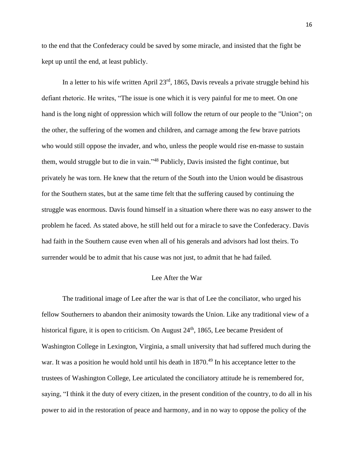to the end that the Confederacy could be saved by some miracle, and insisted that the fight be kept up until the end, at least publicly.

In a letter to his wife written April  $23<sup>rd</sup>$ , 1865, Davis reveals a private struggle behind his defiant rhetoric. He writes, "The issue is one which it is very painful for me to meet. On one hand is the long night of oppression which will follow the return of our people to the "Union"; on the other, the suffering of the women and children, and carnage among the few brave patriots who would still oppose the invader, and who, unless the people would rise en-masse to sustain them, would struggle but to die in vain."<sup>48</sup> Publicly, Davis insisted the fight continue, but privately he was torn. He knew that the return of the South into the Union would be disastrous for the Southern states, but at the same time felt that the suffering caused by continuing the struggle was enormous. Davis found himself in a situation where there was no easy answer to the problem he faced. As stated above, he still held out for a miracle to save the Confederacy. Davis had faith in the Southern cause even when all of his generals and advisors had lost theirs. To surrender would be to admit that his cause was not just, to admit that he had failed.

# Lee After the War

The traditional image of Lee after the war is that of Lee the conciliator, who urged his fellow Southerners to abandon their animosity towards the Union. Like any traditional view of a historical figure, it is open to criticism. On August 24<sup>th</sup>, 1865, Lee became President of Washington College in Lexington, Virginia, a small university that had suffered much during the war. It was a position he would hold until his death in  $1870<sup>49</sup>$  In his acceptance letter to the trustees of Washington College, Lee articulated the conciliatory attitude he is remembered for, saying, "I think it the duty of every citizen, in the present condition of the country, to do all in his power to aid in the restoration of peace and harmony, and in no way to oppose the policy of the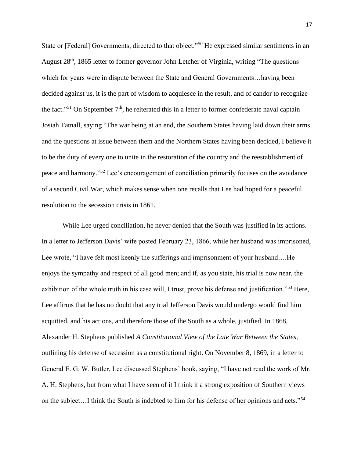State or [Federal] Governments, directed to that object."<sup>50</sup> He expressed similar sentiments in an August 28<sup>th</sup>, 1865 letter to former governor John Letcher of Virginia, writing "The questions" which for years were in dispute between the State and General Governments…having been decided against us, it is the part of wisdom to acquiesce in the result, and of candor to recognize the fact."<sup>51</sup> On September  $7<sup>th</sup>$ , he reiterated this in a letter to former confederate naval captain Josiah Tatnall, saying "The war being at an end, the Southern States having laid down their arms and the questions at issue between them and the Northern States having been decided, I believe it to be the duty of every one to unite in the restoration of the country and the reestablishment of peace and harmony."<sup>52</sup> Lee's encouragement of conciliation primarily focuses on the avoidance of a second Civil War, which makes sense when one recalls that Lee had hoped for a peaceful resolution to the secession crisis in 1861.

While Lee urged conciliation, he never denied that the South was justified in its actions. In a letter to Jefferson Davis' wife posted February 23, 1866, while her husband was imprisoned, Lee wrote, "I have felt most keenly the sufferings and imprisonment of your husband….He enjoys the sympathy and respect of all good men; and if, as you state, his trial is now near, the exhibition of the whole truth in his case will, I trust, prove his defense and justification."<sup>53</sup> Here, Lee affirms that he has no doubt that any trial Jefferson Davis would undergo would find him acquitted, and his actions, and therefore those of the South as a whole, justified. In 1868, Alexander H. Stephens published *A Constitutional View of the Late War Between the States,*  outlining his defense of secession as a constitutional right. On November 8, 1869, in a letter to General E. G. W. Butler, Lee discussed Stephens' book, saying, "I have not read the work of Mr. A. H. Stephens, but from what I have seen of it I think it a strong exposition of Southern views on the subject…I think the South is indebted to him for his defense of her opinions and acts."<sup>54</sup>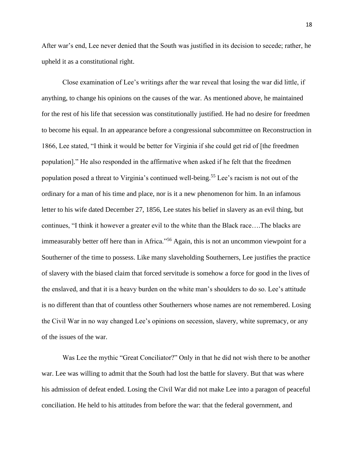After war's end, Lee never denied that the South was justified in its decision to secede; rather, he upheld it as a constitutional right.

Close examination of Lee's writings after the war reveal that losing the war did little, if anything, to change his opinions on the causes of the war. As mentioned above, he maintained for the rest of his life that secession was constitutionally justified. He had no desire for freedmen to become his equal. In an appearance before a congressional subcommittee on Reconstruction in 1866, Lee stated, "I think it would be better for Virginia if she could get rid of [the freedmen population]." He also responded in the affirmative when asked if he felt that the freedmen population posed a threat to Virginia's continued well-being.<sup>55</sup> Lee's racism is not out of the ordinary for a man of his time and place, nor is it a new phenomenon for him. In an infamous letter to his wife dated December 27, 1856, Lee states his belief in slavery as an evil thing, but continues, "I think it however a greater evil to the white than the Black race….The blacks are immeasurably better off here than in Africa."<sup>56</sup> Again, this is not an uncommon viewpoint for a Southerner of the time to possess. Like many slaveholding Southerners, Lee justifies the practice of slavery with the biased claim that forced servitude is somehow a force for good in the lives of the enslaved, and that it is a heavy burden on the white man's shoulders to do so. Lee's attitude is no different than that of countless other Southerners whose names are not remembered. Losing the Civil War in no way changed Lee's opinions on secession, slavery, white supremacy, or any of the issues of the war.

Was Lee the mythic "Great Conciliator?" Only in that he did not wish there to be another war. Lee was willing to admit that the South had lost the battle for slavery. But that was where his admission of defeat ended. Losing the Civil War did not make Lee into a paragon of peaceful conciliation. He held to his attitudes from before the war: that the federal government, and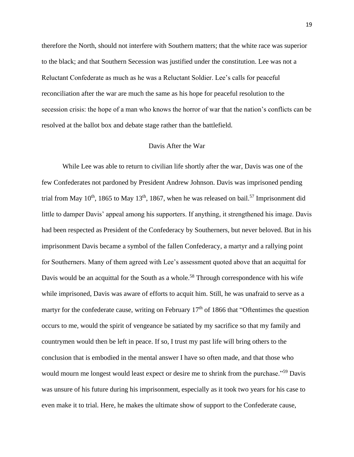therefore the North, should not interfere with Southern matters; that the white race was superior to the black; and that Southern Secession was justified under the constitution. Lee was not a Reluctant Confederate as much as he was a Reluctant Soldier. Lee's calls for peaceful reconciliation after the war are much the same as his hope for peaceful resolution to the secession crisis: the hope of a man who knows the horror of war that the nation's conflicts can be resolved at the ballot box and debate stage rather than the battlefield.

# Davis After the War

While Lee was able to return to civilian life shortly after the war, Davis was one of the few Confederates not pardoned by President Andrew Johnson. Davis was imprisoned pending trial from May  $10^{th}$ , 1865 to May  $13^{th}$ , 1867, when he was released on bail.<sup>57</sup> Imprisonment did little to damper Davis' appeal among his supporters. If anything, it strengthened his image. Davis had been respected as President of the Confederacy by Southerners, but never beloved. But in his imprisonment Davis became a symbol of the fallen Confederacy, a martyr and a rallying point for Southerners. Many of them agreed with Lee's assessment quoted above that an acquittal for Davis would be an acquittal for the South as a whole.<sup>58</sup> Through correspondence with his wife while imprisoned, Davis was aware of efforts to acquit him. Still, he was unafraid to serve as a martyr for the confederate cause, writing on February  $17<sup>th</sup>$  of 1866 that "Oftentimes the question occurs to me, would the spirit of vengeance be satiated by my sacrifice so that my family and countrymen would then be left in peace. If so, I trust my past life will bring others to the conclusion that is embodied in the mental answer I have so often made, and that those who would mourn me longest would least expect or desire me to shrink from the purchase."<sup>59</sup> Davis was unsure of his future during his imprisonment, especially as it took two years for his case to even make it to trial. Here, he makes the ultimate show of support to the Confederate cause,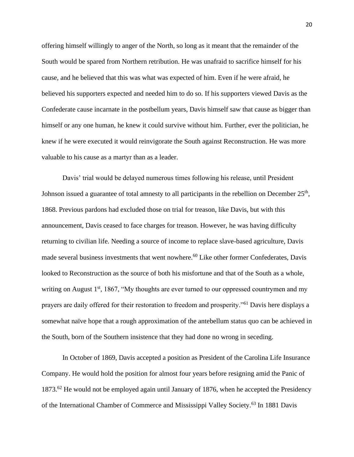offering himself willingly to anger of the North, so long as it meant that the remainder of the South would be spared from Northern retribution. He was unafraid to sacrifice himself for his cause, and he believed that this was what was expected of him. Even if he were afraid, he believed his supporters expected and needed him to do so. If his supporters viewed Davis as the Confederate cause incarnate in the postbellum years, Davis himself saw that cause as bigger than himself or any one human, he knew it could survive without him. Further, ever the politician, he knew if he were executed it would reinvigorate the South against Reconstruction. He was more valuable to his cause as a martyr than as a leader.

Davis' trial would be delayed numerous times following his release, until President Johnson issued a guarantee of total amnesty to all participants in the rebellion on December  $25<sup>th</sup>$ , 1868. Previous pardons had excluded those on trial for treason, like Davis, but with this announcement, Davis ceased to face charges for treason. However, he was having difficulty returning to civilian life. Needing a source of income to replace slave-based agriculture, Davis made several business investments that went nowhere.<sup>60</sup> Like other former Confederates, Davis looked to Reconstruction as the source of both his misfortune and that of the South as a whole, writing on August 1<sup>st</sup>, 1867, "My thoughts are ever turned to our oppressed countrymen and my prayers are daily offered for their restoration to freedom and prosperity."<sup>61</sup> Davis here displays a somewhat naïve hope that a rough approximation of the antebellum status quo can be achieved in the South, born of the Southern insistence that they had done no wrong in seceding.

In October of 1869, Davis accepted a position as President of the Carolina Life Insurance Company. He would hold the position for almost four years before resigning amid the Panic of  $1873.^{62}$  He would not be employed again until January of 1876, when he accepted the Presidency of the International Chamber of Commerce and Mississippi Valley Society.<sup>63</sup> In 1881 Davis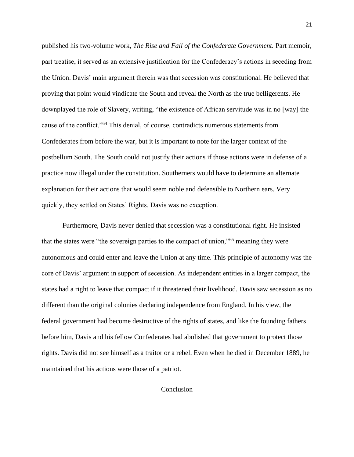published his two-volume work, *The Rise and Fall of the Confederate Government.* Part memoir, part treatise, it served as an extensive justification for the Confederacy's actions in seceding from the Union. Davis' main argument therein was that secession was constitutional. He believed that proving that point would vindicate the South and reveal the North as the true belligerents. He downplayed the role of Slavery, writing, "the existence of African servitude was in no [way] the cause of the conflict."<sup>64</sup> This denial, of course, contradicts numerous statements from Confederates from before the war, but it is important to note for the larger context of the postbellum South. The South could not justify their actions if those actions were in defense of a practice now illegal under the constitution. Southerners would have to determine an alternate explanation for their actions that would seem noble and defensible to Northern ears. Very quickly, they settled on States' Rights. Davis was no exception.

Furthermore, Davis never denied that secession was a constitutional right. He insisted that the states were "the sovereign parties to the compact of union,"<sup>65</sup> meaning they were autonomous and could enter and leave the Union at any time. This principle of autonomy was the core of Davis' argument in support of secession. As independent entities in a larger compact, the states had a right to leave that compact if it threatened their livelihood. Davis saw secession as no different than the original colonies declaring independence from England. In his view, the federal government had become destructive of the rights of states, and like the founding fathers before him, Davis and his fellow Confederates had abolished that government to protect those rights. Davis did not see himself as a traitor or a rebel. Even when he died in December 1889, he maintained that his actions were those of a patriot.

# Conclusion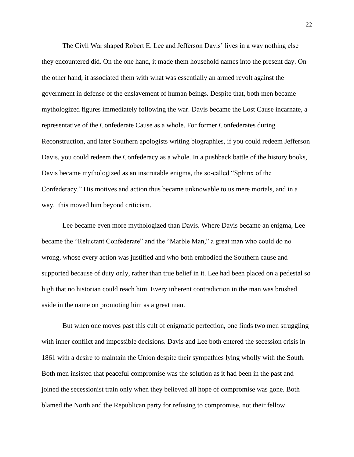The Civil War shaped Robert E. Lee and Jefferson Davis' lives in a way nothing else they encountered did. On the one hand, it made them household names into the present day. On the other hand, it associated them with what was essentially an armed revolt against the government in defense of the enslavement of human beings. Despite that, both men became mythologized figures immediately following the war. Davis became the Lost Cause incarnate, a representative of the Confederate Cause as a whole. For former Confederates during Reconstruction, and later Southern apologists writing biographies, if you could redeem Jefferson Davis, you could redeem the Confederacy as a whole. In a pushback battle of the history books, Davis became mythologized as an inscrutable enigma, the so-called "Sphinx of the Confederacy." His motives and action thus became unknowable to us mere mortals, and in a way, this moved him beyond criticism.

Lee became even more mythologized than Davis. Where Davis became an enigma, Lee became the "Reluctant Confederate" and the "Marble Man," a great man who could do no wrong, whose every action was justified and who both embodied the Southern cause and supported because of duty only, rather than true belief in it. Lee had been placed on a pedestal so high that no historian could reach him. Every inherent contradiction in the man was brushed aside in the name on promoting him as a great man.

But when one moves past this cult of enigmatic perfection, one finds two men struggling with inner conflict and impossible decisions. Davis and Lee both entered the secession crisis in 1861 with a desire to maintain the Union despite their sympathies lying wholly with the South. Both men insisted that peaceful compromise was the solution as it had been in the past and joined the secessionist train only when they believed all hope of compromise was gone. Both blamed the North and the Republican party for refusing to compromise, not their fellow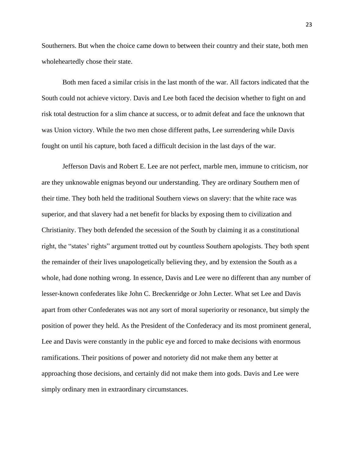Southerners. But when the choice came down to between their country and their state, both men wholeheartedly chose their state.

Both men faced a similar crisis in the last month of the war. All factors indicated that the South could not achieve victory. Davis and Lee both faced the decision whether to fight on and risk total destruction for a slim chance at success, or to admit defeat and face the unknown that was Union victory. While the two men chose different paths, Lee surrendering while Davis fought on until his capture, both faced a difficult decision in the last days of the war.

Jefferson Davis and Robert E. Lee are not perfect, marble men, immune to criticism, nor are they unknowable enigmas beyond our understanding. They are ordinary Southern men of their time. They both held the traditional Southern views on slavery: that the white race was superior, and that slavery had a net benefit for blacks by exposing them to civilization and Christianity. They both defended the secession of the South by claiming it as a constitutional right, the "states' rights" argument trotted out by countless Southern apologists. They both spent the remainder of their lives unapologetically believing they, and by extension the South as a whole, had done nothing wrong. In essence, Davis and Lee were no different than any number of lesser-known confederates like John C. Breckenridge or John Lecter. What set Lee and Davis apart from other Confederates was not any sort of moral superiority or resonance, but simply the position of power they held. As the President of the Confederacy and its most prominent general, Lee and Davis were constantly in the public eye and forced to make decisions with enormous ramifications. Their positions of power and notoriety did not make them any better at approaching those decisions, and certainly did not make them into gods. Davis and Lee were simply ordinary men in extraordinary circumstances.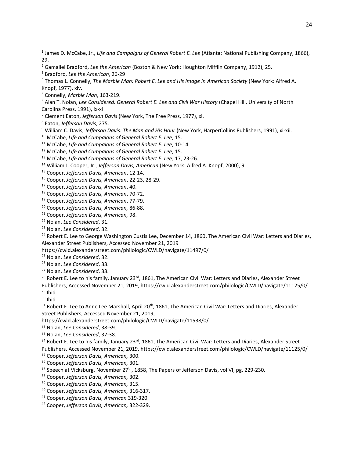- Gamaliel Bradford, *Lee the American* (Boston & New York: Houghton Mifflin Company, 1912), 25.
- Bradford, *Lee the American*, 26-29

Connelly, *Marble Man*, 163-219.

 Alan T. Nolan, *Lee Considered: General Robert E. Lee and Civil War History* (Chapel Hill, University of North Carolina Press, 1991), ix-xi

Clement Eaton, *Jefferson Davis* (New York, The Free Press, 1977), xi.

Eaton, *Jefferson Davis*, 275.

William C. Davis, *Jefferson Davis: The Man and His Hour* (New York, HarperCollins Publishers, 1991), xi-xii.

McCabe, *Life and Campaigns of General Robert E. Lee*, 15.

McCabe, *Life and Campaigns of General Robert E. Lee*, 10-14.

McCabe, *Life and Campaigns of General Robert E. Lee*, 15.

McCabe, *Life and Campaigns of General Robert E. Lee,* 17, 23-26.

William J. Cooper, Jr., *Jefferson Davis, American* (New York: Alfred A. Knopf, 2000), 9.

Cooper, *Jefferson Davis, American*, 12-14.

Cooper, *Jefferson Davis, American*, 22-23, 28-29.

Cooper, *Jefferson Davis, American*, 40.

Cooper, *Jefferson Davis, American*, 70-72.

Cooper, *Jefferson Davis, American*, 77-79.

Cooper, *Jefferson Davis, American,* 86-88.

Cooper, *Jefferson Davis, American,* 98.

Nolan, *Lee Considered*, 31.

Nolan, *Lee Considered*, 32.

<sup>24</sup> Robert E. Lee to George Washington Custis Lee, December 14, 1860, The American Civil War: Letters and Diaries, Alexander Street Publishers, Accessed November 21, 2019

https://cwld.alexanderstreet.com/philologic/CWLD/navigate/11497/0/

Nolan, *Lee Considered*, 32.

Nolan, *Lee Considered*, 33.

Nolan, *Lee Considered*, 33.

<sup>28</sup> Robert E. Lee to his family, January 23<sup>rd</sup>, 1861, The American Civil War: Letters and Diaries, Alexander Street Publishers, Accessed November 21, 2019, https://cwld.alexanderstreet.com/philologic/CWLD/navigate/11125/0/ Ibid.

Ibid.

31 Robert E. Lee to Anne Lee Marshall, April 20<sup>th</sup>, 1861, The American Civil War: Letters and Diaries, Alexander Street Publishers, Accessed November 21, 2019,

https://cwld.alexanderstreet.com/philologic/CWLD/navigate/11538/0/

Nolan, *Lee Considered*, 38-39.

Nolan, *Lee Considered*, 37-38.

34 Robert E. Lee to his family, January 23<sup>rd</sup>, 1861, The American Civil War: Letters and Diaries, Alexander Street Publishers, Accessed November 21, 2019, https://cwld.alexanderstreet.com/philologic/CWLD/navigate/11125/0/

Cooper, *Jefferson Davis, American,* 300.

Cooper, *Jefferson Davis, American,* 301.

Speech at Vicksburg, November 27<sup>th</sup>, 1858, The Papers of Jefferson Davis, vol VI, pg. 229-230.

Cooper, *Jefferson Davis, American,* 302.

Cooper, *Jefferson Davis, American,* 315.

- Cooper, *Jefferson Davis, American,* 316-317.
- Cooper, *Jefferson Davis, American* 319-320.

Cooper, *Jefferson Davis, American,* 322-329.

 James D. McCabe, Jr., *Life and Campaigns of General Robert E. Lee* (Atlanta: National Publishing Company, 1866), 29.

 Thomas L. Connelly, *The Marble Man: Robert E. Lee and His Image in American Society* (New York: Alfred A. Knopf, 1977), xiv.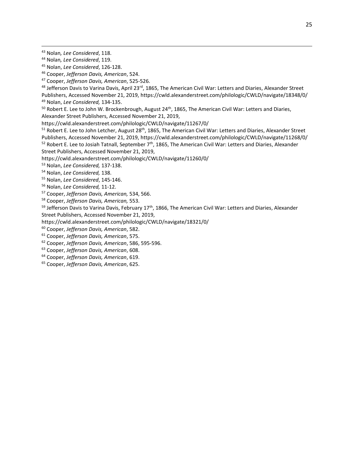- Cooper, *Jefferson Davis, American*, 525-526.
- 48 Jefferson Davis to Varina Davis, April 23<sup>rd</sup>, 1865, The American Civil War: Letters and Diaries, Alexander Street
- Publishers, Accessed November 21, 2019, https://cwld.alexanderstreet.com/philologic/CWLD/navigate/18348/0/ Nolan, *Lee Considered,* 134-135.
- Robert E. Lee to John W. Brockenbrough, August 24<sup>th</sup>, 1865, The American Civil War: Letters and Diaries, Alexander Street Publishers, Accessed November 21, 2019,
- https://cwld.alexanderstreet.com/philologic/CWLD/navigate/11267/0/
- Robert E. Lee to John Letcher, August 28<sup>th</sup>, 1865, The American Civil War: Letters and Diaries, Alexander Street Publishers, Accessed November 21, 2019,<https://cwld.alexanderstreet.com/philologic/CWLD/navigate/11268/0/> Robert E. Lee to Josiah Tatnall, September  $7<sup>th</sup>$ , 1865, The American Civil War: Letters and Diaries, Alexander
- Street Publishers, Accessed November 21, 2019,
- https://cwld.alexanderstreet.com/philologic/CWLD/navigate/11260/0/

Nolan, *Lee Considered,* 137-138.

- Nolan, *Lee Considered,* 138.
- Nolan, *Lee Considered*, 145-146.
- Nolan, *Lee Considered,* 11-12.
- Cooper, *Jefferson Davis, American,* 534, 566.
- Cooper, *Jefferson Davis, American,* 553.
- <sup>59</sup> Jefferson Davis to Varina Davis, February 17<sup>th</sup>, 1866, The American Civil War: Letters and Diaries, Alexander
- Street Publishers, Accessed November 21, 2019,
- https://cwld.alexanderstreet.com/philologic/CWLD/navigate/18321/0/
- Cooper, *Jefferson Davis, American*, 582.
- Cooper, *Jefferson Davis, American*, 575.
- Cooper, *Jefferson Davis, American*, 586, 595-596.
- Cooper, *Jefferson Davis, American*, 608.
- Cooper, *Jefferson Davis, American*, 619.
- Cooper, *Jefferson Davis, American*, 625.

Nolan*, Lee Considered*, 118.

Nolan*, Lee Considered*, 119.

Nolan, *Lee Considered*, 126-128.

Cooper, *Jefferson Davis, American*, 524.